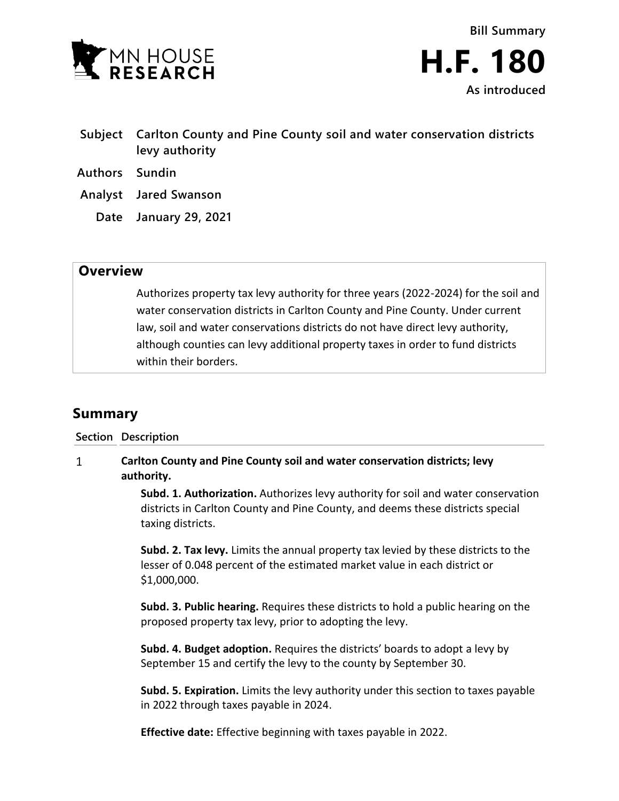

- **Subject Carlton County and Pine County soil and water conservation districts levy authority**
- **Authors Sundin**
- **Analyst Jared Swanson**
	- **Date January 29, 2021**

## **Overview**

Authorizes property tax levy authority for three years (2022-2024) for the soil and water conservation districts in Carlton County and Pine County. Under current law, soil and water conservations districts do not have direct levy authority, although counties can levy additional property taxes in order to fund districts within their borders.

## **Summary**

**Section Description**

## $\mathbf{1}$ **Carlton County and Pine County soil and water conservation districts; levy authority.**

**Subd. 1. Authorization.** Authorizes levy authority for soil and water conservation districts in Carlton County and Pine County, and deems these districts special taxing districts.

**Subd. 2. Tax levy.** Limits the annual property tax levied by these districts to the lesser of 0.048 percent of the estimated market value in each district or \$1,000,000.

**Subd. 3. Public hearing.** Requires these districts to hold a public hearing on the proposed property tax levy, prior to adopting the levy.

**Subd. 4. Budget adoption.** Requires the districts' boards to adopt a levy by September 15 and certify the levy to the county by September 30.

**Subd. 5. Expiration.** Limits the levy authority under this section to taxes payable in 2022 through taxes payable in 2024.

**Effective date:** Effective beginning with taxes payable in 2022.